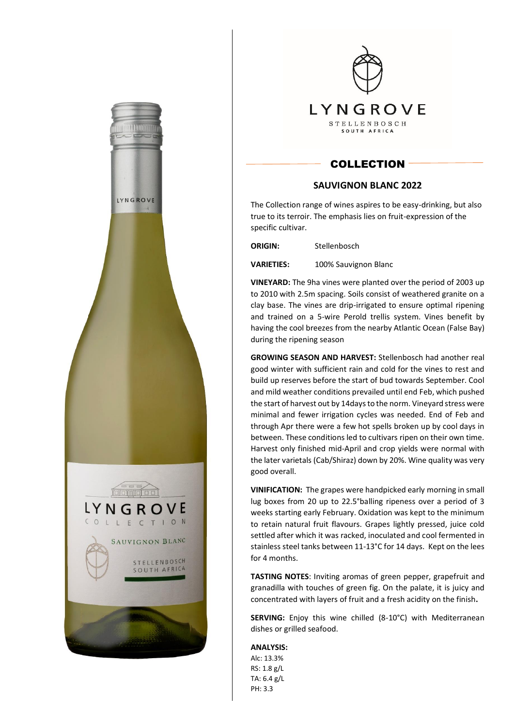



## **COLLECTION**

## **SAUVIGNON BLANC 2022**

The Collection range of wines aspires to be easy-drinking, but also true to its terroir. The emphasis lies on fruit-expression of the specific cultivar.

**ORIGIN:** Stellenbosch

**VARIETIES:** 100% Sauvignon Blanc

**VINEYARD:** The 9ha vines were planted over the period of 2003 up to 2010 with 2.5m spacing. Soils consist of weathered granite on a clay base. The vines are drip-irrigated to ensure optimal ripening and trained on a 5-wire Perold trellis system. Vines benefit by having the cool breezes from the nearby Atlantic Ocean (False Bay) during the ripening season

**GROWING SEASON AND HARVEST:** Stellenbosch had another real good winter with sufficient rain and cold for the vines to rest and build up reserves before the start of bud towards September. Cool and mild weather conditions prevailed until end Feb, which pushed the start of harvest out by 14days to the norm. Vineyard stress were minimal and fewer irrigation cycles was needed. End of Feb and through Apr there were a few hot spells broken up by cool days in between. These conditions led to cultivars ripen on their own time. Harvest only finished mid-April and crop yields were normal with the later varietals (Cab/Shiraz) down by 20%. Wine quality was very good overall.

**VINIFICATION:** The grapes were handpicked early morning in small lug boxes from 20 up to 22.5°balling ripeness over a period of 3 weeks starting early February. Oxidation was kept to the minimum to retain natural fruit flavours. Grapes lightly pressed, juice cold settled after which it was racked, inoculated and cool fermented in stainless steel tanks between 11-13°C for 14 days. Kept on the lees for 4 months.

**TASTING NOTES**: Inviting aromas of green pepper, grapefruit and granadilla with touches of green fig. On the palate, it is juicy and concentrated with layers of fruit and a fresh acidity on the finish**.**

**SERVING:** Enjoy this wine chilled (8-10°C) with Mediterranean dishes or grilled seafood.

**ANALYSIS:** 

Alc: 13.3% RS: 1.8 g/L TA: 6.4 g/L PH: 3.3